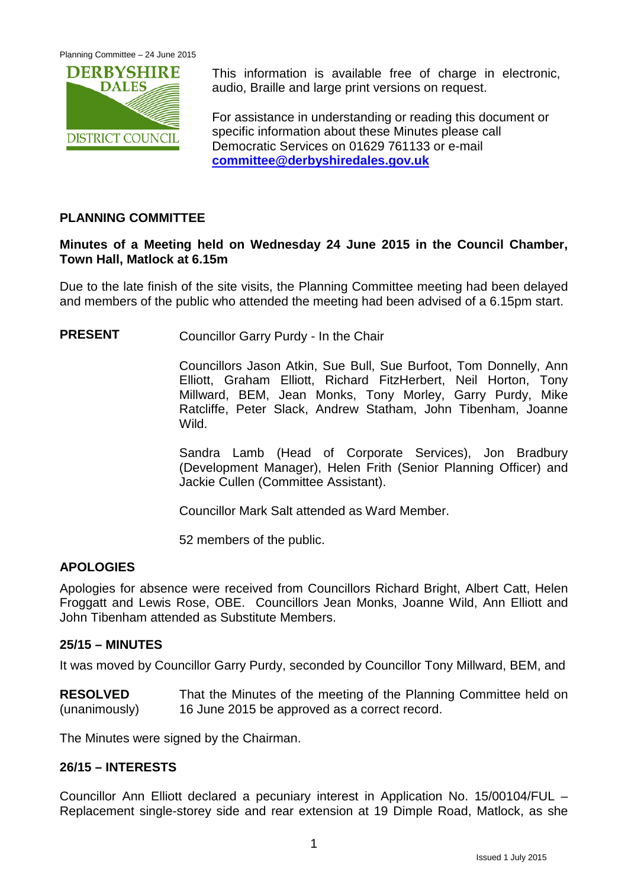

This information is available free of charge in electronic, audio, Braille and large print versions on request.

For assistance in understanding or reading this document or specific information about these Minutes please call Democratic Services on 01629 761133 or e-mail **[committee@derbyshiredales.gov.uk](mailto:committee@derbyshiredales.gov.uk)**

# **PLANNING COMMITTEE**

# **Minutes of a Meeting held on Wednesday 24 June 2015 in the Council Chamber, Town Hall, Matlock at 6.15m**

Due to the late finish of the site visits, the Planning Committee meeting had been delayed and members of the public who attended the meeting had been advised of a 6.15pm start.

**PRESENT** Councillor Garry Purdy - In the Chair

Councillors Jason Atkin, Sue Bull, Sue Burfoot, Tom Donnelly, Ann Elliott, Graham Elliott, Richard FitzHerbert, Neil Horton, Tony Millward, BEM, Jean Monks, Tony Morley, Garry Purdy, Mike Ratcliffe, Peter Slack, Andrew Statham, John Tibenham, Joanne Wild.

Sandra Lamb (Head of Corporate Services), Jon Bradbury (Development Manager), Helen Frith (Senior Planning Officer) and Jackie Cullen (Committee Assistant).

Councillor Mark Salt attended as Ward Member.

52 members of the public.

## **APOLOGIES**

Apologies for absence were received from Councillors Richard Bright, Albert Catt, Helen Froggatt and Lewis Rose, OBE. Councillors Jean Monks, Joanne Wild, Ann Elliott and John Tibenham attended as Substitute Members.

## **25/15 – MINUTES**

It was moved by Councillor Garry Purdy, seconded by Councillor Tony Millward, BEM, and

**RESOLVED** (unanimously) That the Minutes of the meeting of the Planning Committee held on 16 June 2015 be approved as a correct record.

The Minutes were signed by the Chairman.

## **26/15 – INTERESTS**

Councillor Ann Elliott declared a pecuniary interest in Application No. 15/00104/FUL – Replacement single-storey side and rear extension at 19 Dimple Road, Matlock, as she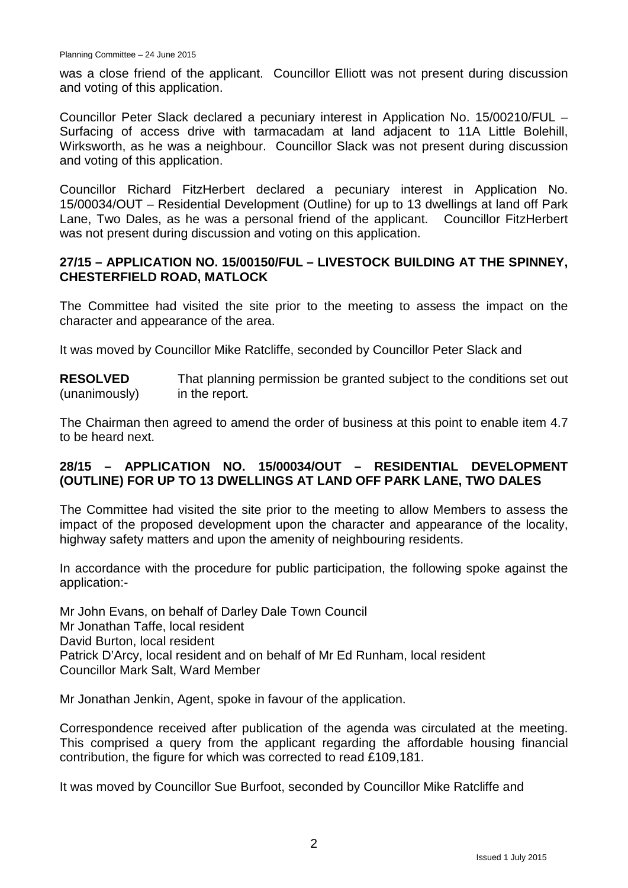was a close friend of the applicant. Councillor Elliott was not present during discussion and voting of this application.

Councillor Peter Slack declared a pecuniary interest in Application No. 15/00210/FUL – Surfacing of access drive with tarmacadam at land adjacent to 11A Little Bolehill, Wirksworth, as he was a neighbour. Councillor Slack was not present during discussion and voting of this application.

Councillor Richard FitzHerbert declared a pecuniary interest in Application No. 15/00034/OUT – Residential Development (Outline) for up to 13 dwellings at land off Park Lane, Two Dales, as he was a personal friend of the applicant. Councillor FitzHerbert was not present during discussion and voting on this application.

## **27/15 – APPLICATION NO. 15/00150/FUL – LIVESTOCK BUILDING AT THE SPINNEY, CHESTERFIELD ROAD, MATLOCK**

The Committee had visited the site prior to the meeting to assess the impact on the character and appearance of the area.

It was moved by Councillor Mike Ratcliffe, seconded by Councillor Peter Slack and

**RESOLVED** (unanimously) That planning permission be granted subject to the conditions set out in the report.

The Chairman then agreed to amend the order of business at this point to enable item 4.7 to be heard next.

# **28/15 – APPLICATION NO. 15/00034/OUT – RESIDENTIAL DEVELOPMENT (OUTLINE) FOR UP TO 13 DWELLINGS AT LAND OFF PARK LANE, TWO DALES**

The Committee had visited the site prior to the meeting to allow Members to assess the impact of the proposed development upon the character and appearance of the locality, highway safety matters and upon the amenity of neighbouring residents.

In accordance with the procedure for public participation, the following spoke against the application:-

Mr John Evans, on behalf of Darley Dale Town Council Mr Jonathan Taffe, local resident David Burton, local resident Patrick D'Arcy, local resident and on behalf of Mr Ed Runham, local resident Councillor Mark Salt, Ward Member

Mr Jonathan Jenkin, Agent, spoke in favour of the application.

Correspondence received after publication of the agenda was circulated at the meeting. This comprised a query from the applicant regarding the affordable housing financial contribution, the figure for which was corrected to read £109,181.

It was moved by Councillor Sue Burfoot, seconded by Councillor Mike Ratcliffe and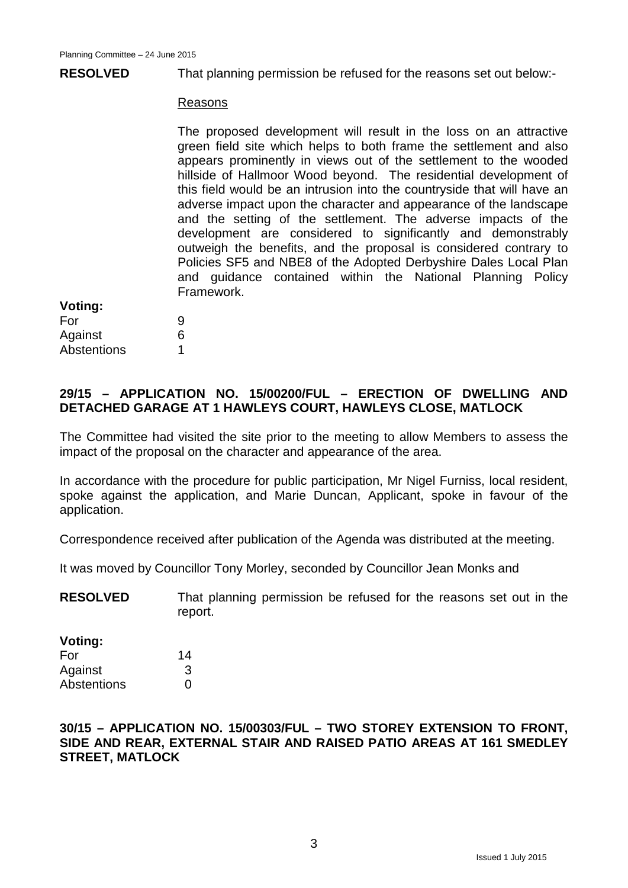#### **RESOLVED** That planning permission be refused for the reasons set out below:-

#### Reasons

The proposed development will result in the loss on an attractive green field site which helps to both frame the settlement and also appears prominently in views out of the settlement to the wooded hillside of Hallmoor Wood beyond. The residential development of this field would be an intrusion into the countryside that will have an adverse impact upon the character and appearance of the landscape and the setting of the settlement. The adverse impacts of the development are considered to significantly and demonstrably outweigh the benefits, and the proposal is considered contrary to Policies SF5 and NBE8 of the Adopted Derbyshire Dales Local Plan and guidance contained within the National Planning Policy Framework.

#### **Voting:**

| For         | 9 |
|-------------|---|
| Against     | 6 |
| Abstentions |   |

# **29/15 – APPLICATION NO. 15/00200/FUL – ERECTION OF DWELLING AND DETACHED GARAGE AT 1 HAWLEYS COURT, HAWLEYS CLOSE, MATLOCK**

The Committee had visited the site prior to the meeting to allow Members to assess the impact of the proposal on the character and appearance of the area.

In accordance with the procedure for public participation, Mr Nigel Furniss, local resident, spoke against the application, and Marie Duncan, Applicant, spoke in favour of the application.

Correspondence received after publication of the Agenda was distributed at the meeting.

It was moved by Councillor Tony Morley, seconded by Councillor Jean Monks and

**RESOLVED** That planning permission be refused for the reasons set out in the report.

#### **Voting:**

| For         | 14 |
|-------------|----|
| Against     | 3  |
| Abstentions | O  |

## **30/15 – APPLICATION NO. 15/00303/FUL – TWO STOREY EXTENSION TO FRONT, SIDE AND REAR, EXTERNAL STAIR AND RAISED PATIO AREAS AT 161 SMEDLEY STREET, MATLOCK**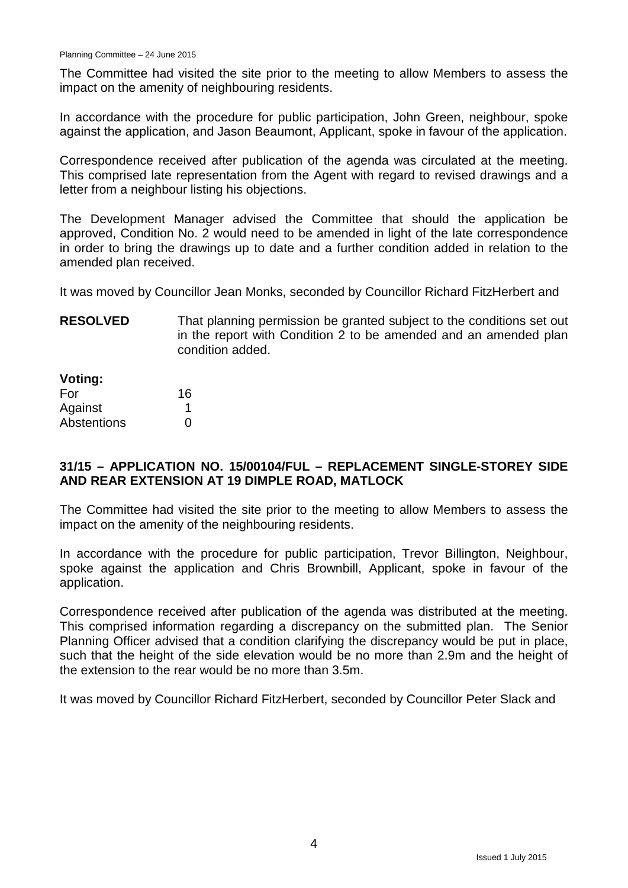The Committee had visited the site prior to the meeting to allow Members to assess the impact on the amenity of neighbouring residents.

In accordance with the procedure for public participation, John Green, neighbour, spoke against the application, and Jason Beaumont, Applicant, spoke in favour of the application.

Correspondence received after publication of the agenda was circulated at the meeting. This comprised late representation from the Agent with regard to revised drawings and a letter from a neighbour listing his objections.

The Development Manager advised the Committee that should the application be approved, Condition No. 2 would need to be amended in light of the late correspondence in order to bring the drawings up to date and a further condition added in relation to the amended plan received.

It was moved by Councillor Jean Monks, seconded by Councillor Richard FitzHerbert and

**RESOLVED** That planning permission be granted subject to the conditions set out in the report with Condition 2 to be amended and an amended plan condition added.

| Voting:            |    |
|--------------------|----|
| For                | 16 |
| Against            | 1  |
| <b>Abstentions</b> | ∩  |

## **31/15 – APPLICATION NO. 15/00104/FUL – REPLACEMENT SINGLE-STOREY SIDE AND REAR EXTENSION AT 19 DIMPLE ROAD, MATLOCK**

The Committee had visited the site prior to the meeting to allow Members to assess the impact on the amenity of the neighbouring residents.

In accordance with the procedure for public participation, Trevor Billington, Neighbour, spoke against the application and Chris Brownbill, Applicant, spoke in favour of the application.

Correspondence received after publication of the agenda was distributed at the meeting. This comprised information regarding a discrepancy on the submitted plan. The Senior Planning Officer advised that a condition clarifying the discrepancy would be put in place, such that the height of the side elevation would be no more than 2.9m and the height of the extension to the rear would be no more than 3.5m.

It was moved by Councillor Richard FitzHerbert, seconded by Councillor Peter Slack and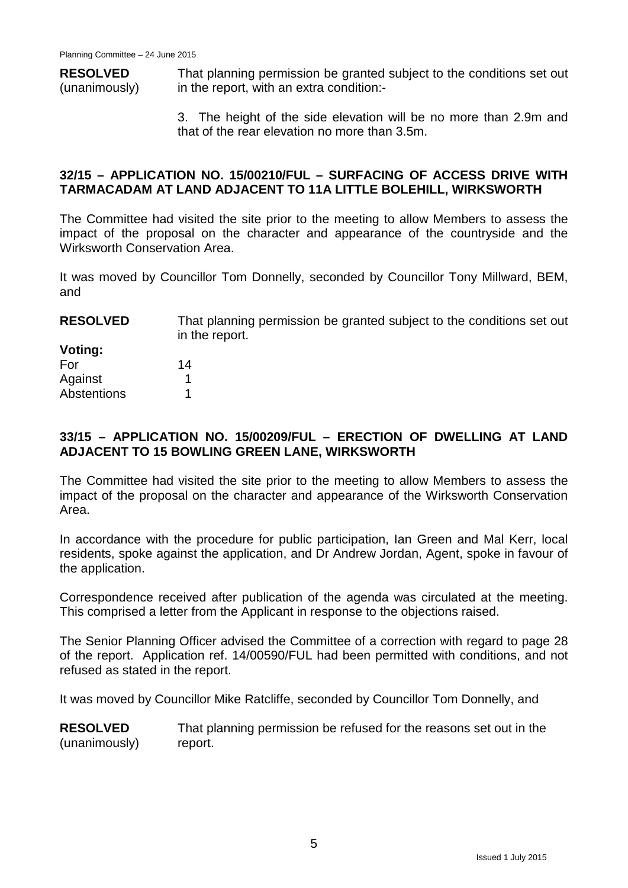**RESOLVED** (unanimously) That planning permission be granted subject to the conditions set out in the report, with an extra condition:-

> 3. The height of the side elevation will be no more than 2.9m and that of the rear elevation no more than 3.5m.

## **32/15 – APPLICATION NO. 15/00210/FUL – SURFACING OF ACCESS DRIVE WITH TARMACADAM AT LAND ADJACENT TO 11A LITTLE BOLEHILL, WIRKSWORTH**

The Committee had visited the site prior to the meeting to allow Members to assess the impact of the proposal on the character and appearance of the countryside and the Wirksworth Conservation Area.

It was moved by Councillor Tom Donnelly, seconded by Councillor Tony Millward, BEM, and

| <b>RESOLVED</b> | That planning permission be granted subject to the conditions set out<br>in the report. |
|-----------------|-----------------------------------------------------------------------------------------|
| Voting:         |                                                                                         |
| For             | 14                                                                                      |
| Against         |                                                                                         |
| Abstentions     |                                                                                         |

# **33/15 – APPLICATION NO. 15/00209/FUL – ERECTION OF DWELLING AT LAND ADJACENT TO 15 BOWLING GREEN LANE, WIRKSWORTH**

The Committee had visited the site prior to the meeting to allow Members to assess the impact of the proposal on the character and appearance of the Wirksworth Conservation Area.

In accordance with the procedure for public participation, Ian Green and Mal Kerr, local residents, spoke against the application, and Dr Andrew Jordan, Agent, spoke in favour of the application.

Correspondence received after publication of the agenda was circulated at the meeting. This comprised a letter from the Applicant in response to the objections raised.

The Senior Planning Officer advised the Committee of a correction with regard to page 28 of the report. Application ref. 14/00590/FUL had been permitted with conditions, and not refused as stated in the report.

It was moved by Councillor Mike Ratcliffe, seconded by Councillor Tom Donnelly, and

**RESOLVED** (unanimously) That planning permission be refused for the reasons set out in the report.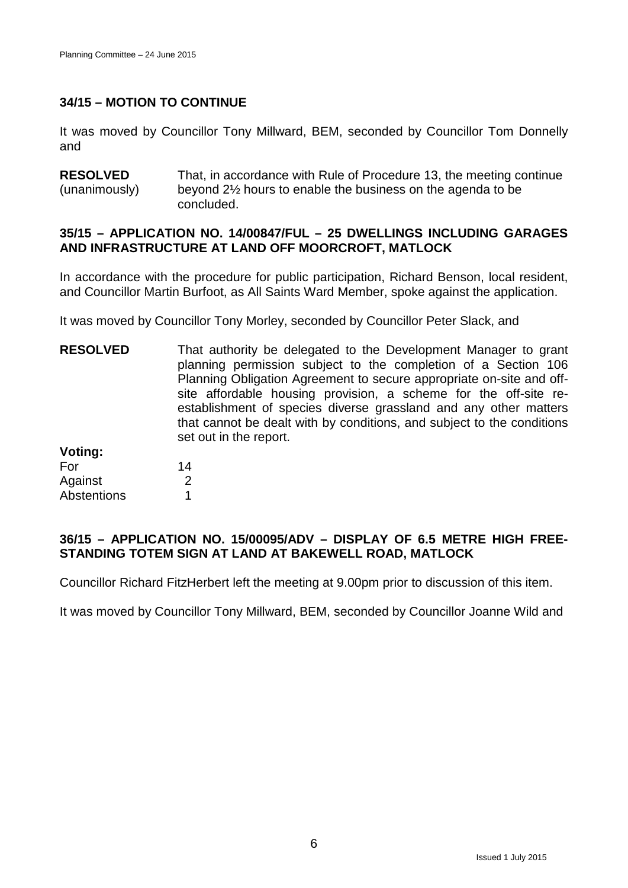# **34/15 – MOTION TO CONTINUE**

It was moved by Councillor Tony Millward, BEM, seconded by Councillor Tom Donnelly and

**RESOLVED** (unanimously) That, in accordance with Rule of Procedure 13, the meeting continue beyond 2½ hours to enable the business on the agenda to be concluded.

#### **35/15 – APPLICATION NO. 14/00847/FUL – 25 DWELLINGS INCLUDING GARAGES AND INFRASTRUCTURE AT LAND OFF MOORCROFT, MATLOCK**

In accordance with the procedure for public participation, Richard Benson, local resident, and Councillor Martin Burfoot, as All Saints Ward Member, spoke against the application.

It was moved by Councillor Tony Morley, seconded by Councillor Peter Slack, and

**RESOLVED Voting:** That authority be delegated to the Development Manager to grant planning permission subject to the completion of a Section 106 Planning Obligation Agreement to secure appropriate on-site and offsite affordable housing provision, a scheme for the off-site reestablishment of species diverse grassland and any other matters that cannot be dealt with by conditions, and subject to the conditions set out in the report.

| voung:             |    |
|--------------------|----|
| For                | 14 |
| Against            | 2  |
| <b>Abstentions</b> |    |

## **36/15 – APPLICATION NO. 15/00095/ADV – DISPLAY OF 6.5 METRE HIGH FREE-STANDING TOTEM SIGN AT LAND AT BAKEWELL ROAD, MATLOCK**

Councillor Richard FitzHerbert left the meeting at 9.00pm prior to discussion of this item.

It was moved by Councillor Tony Millward, BEM, seconded by Councillor Joanne Wild and